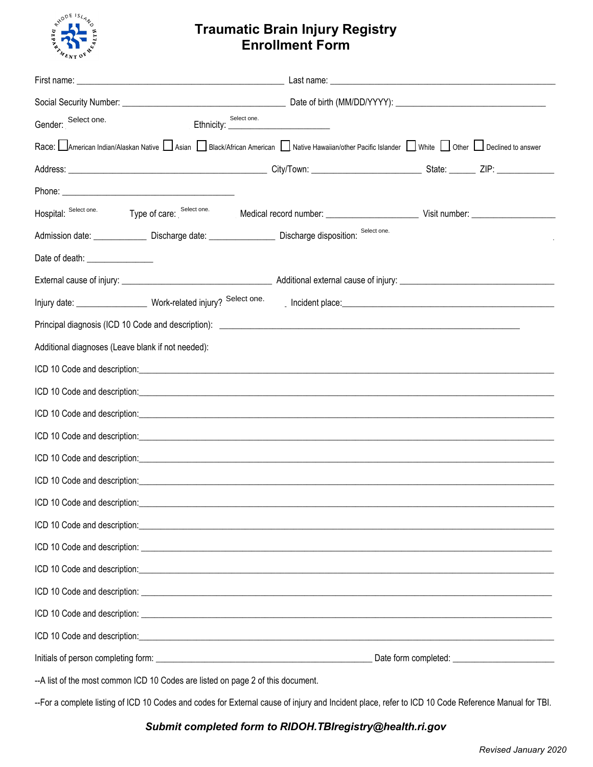

## **Traumatic Brain Injury Registry Enrollment Form**

| Gender: Select one.                                                             | <u>.</u><br>1980 - Johann Barnett, fransk politiker († 1905) | Select one. |                                                                                                                                                                                                                                |  |  |  |
|---------------------------------------------------------------------------------|--------------------------------------------------------------|-------------|--------------------------------------------------------------------------------------------------------------------------------------------------------------------------------------------------------------------------------|--|--|--|
|                                                                                 |                                                              |             | Race: American Indian/Alaskan Native Asian   Black/African American   Native Hawaiian/other Pacific Islander   White   Other   Declined to answer                                                                              |  |  |  |
|                                                                                 |                                                              |             |                                                                                                                                                                                                                                |  |  |  |
|                                                                                 |                                                              |             |                                                                                                                                                                                                                                |  |  |  |
| Hospital: Select one.                                                           |                                                              |             | Type of care: Select one. Medical record number: ________________________________ Visit number: ______________                                                                                                                 |  |  |  |
|                                                                                 |                                                              |             | Select one.                                                                                                                                                                                                                    |  |  |  |
| Date of death: _________________                                                |                                                              |             |                                                                                                                                                                                                                                |  |  |  |
|                                                                                 |                                                              |             |                                                                                                                                                                                                                                |  |  |  |
|                                                                                 |                                                              |             | Provident place: experience and a series of the series of the series of the series of the series of the series of the series of the series of the series of the series of the series of the series of the series of the series |  |  |  |
|                                                                                 |                                                              |             |                                                                                                                                                                                                                                |  |  |  |
| Additional diagnoses (Leave blank if not needed):                               |                                                              |             |                                                                                                                                                                                                                                |  |  |  |
|                                                                                 |                                                              |             |                                                                                                                                                                                                                                |  |  |  |
|                                                                                 |                                                              |             |                                                                                                                                                                                                                                |  |  |  |
|                                                                                 |                                                              |             |                                                                                                                                                                                                                                |  |  |  |
|                                                                                 |                                                              |             |                                                                                                                                                                                                                                |  |  |  |
|                                                                                 |                                                              |             |                                                                                                                                                                                                                                |  |  |  |
|                                                                                 |                                                              |             |                                                                                                                                                                                                                                |  |  |  |
| ICD 10 Code and description: _______________                                    |                                                              |             |                                                                                                                                                                                                                                |  |  |  |
|                                                                                 |                                                              |             |                                                                                                                                                                                                                                |  |  |  |
|                                                                                 |                                                              |             |                                                                                                                                                                                                                                |  |  |  |
|                                                                                 |                                                              |             |                                                                                                                                                                                                                                |  |  |  |
|                                                                                 |                                                              |             |                                                                                                                                                                                                                                |  |  |  |
|                                                                                 |                                                              |             |                                                                                                                                                                                                                                |  |  |  |
|                                                                                 |                                                              |             |                                                                                                                                                                                                                                |  |  |  |
|                                                                                 |                                                              |             |                                                                                                                                                                                                                                |  |  |  |
| --A list of the most common ICD 10 Codes are listed on page 2 of this document. |                                                              |             |                                                                                                                                                                                                                                |  |  |  |

--For a complete listing of ICD 10 Codes and codes for External cause of injury and Incident place, refer to ICD 10 Code Reference Manual for TBI.

## *Submit completed form to RIDOH.TBIregistry@health.ri.gov*